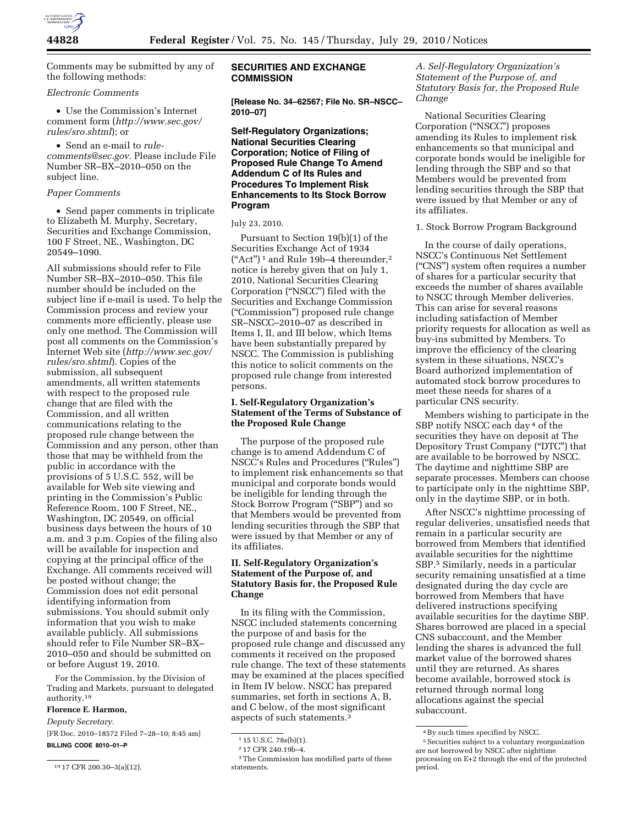

Comments may be submitted by any of the following methods:

### *Electronic Comments*

• Use the Commission's Internet comment form (*[http://www.sec.gov/](http://www.sec.gov/rules/sro.shtml)  [rules/sro.shtml](http://www.sec.gov/rules/sro.shtml)*); or

• Send an e-mail to *[rule](mailto:rule-comments@sec.gov)[comments@sec.gov.](mailto:rule-comments@sec.gov)* Please include File Number SR–BX–2010–050 on the subject line.

#### *Paper Comments*

• Send paper comments in triplicate to Elizabeth M. Murphy, Secretary, Securities and Exchange Commission, 100 F Street, NE., Washington, DC 20549–1090.

All submissions should refer to File Number SR–BX–2010–050. This file number should be included on the subject line if e-mail is used. To help the Commission process and review your comments more efficiently, please use only one method. The Commission will post all comments on the Commission's Internet Web site (*[http://www.sec.gov/](http://www.sec.gov/rules/sro.shtml)  [rules/sro.shtml](http://www.sec.gov/rules/sro.shtml)*). Copies of the submission, all subsequent amendments, all written statements with respect to the proposed rule change that are filed with the Commission, and all written communications relating to the proposed rule change between the Commission and any person, other than those that may be withheld from the public in accordance with the provisions of 5 U.S.C. 552, will be available for Web site viewing and printing in the Commission's Public Reference Room, 100 F Street, NE., Washington, DC 20549, on official business days between the hours of 10 a.m. and 3 p.m. Copies of the filing also will be available for inspection and copying at the principal office of the Exchange. All comments received will be posted without change; the Commission does not edit personal identifying information from submissions. You should submit only information that you wish to make available publicly. All submissions should refer to File Number SR–BX– 2010–050 and should be submitted on or before August 19, 2010.

For the Commission, by the Division of Trading and Markets, pursuant to delegated authority.19

### **Florence E. Harmon,**

*Deputy Secretary.* 

[FR Doc. 2010–18572 Filed 7–28–10; 8:45 am] **BILLING CODE 8010–01–P** 

### **SECURITIES AND EXCHANGE COMMISSION**

**[Release No. 34–62567; File No. SR–NSCC– 2010–07]** 

# **Self-Regulatory Organizations; National Securities Clearing Corporation; Notice of Filing of Proposed Rule Change To Amend Addendum C of Its Rules and Procedures To Implement Risk Enhancements to Its Stock Borrow Program**

#### July 23, 2010.

Pursuant to Section 19(b)(1) of the Securities Exchange Act of 1934  $("Act")^1$  and Rule 19b-4 thereunder,<sup>2</sup> notice is hereby given that on July 1, 2010, National Securities Clearing Corporation (''NSCC'') filed with the Securities and Exchange Commission (''Commission'') proposed rule change SR–NSCC–2010–07 as described in Items I, II, and III below, which Items have been substantially prepared by NSCC. The Commission is publishing this notice to solicit comments on the proposed rule change from interested persons.

### **I. Self-Regulatory Organization's Statement of the Terms of Substance of the Proposed Rule Change**

The purpose of the proposed rule change is to amend Addendum C of NSCC's Rules and Procedures (''Rules'') to implement risk enhancements so that municipal and corporate bonds would be ineligible for lending through the Stock Borrow Program ("SBP") and so that Members would be prevented from lending securities through the SBP that were issued by that Member or any of its affiliates.

# **II. Self-Regulatory Organization's Statement of the Purpose of, and Statutory Basis for, the Proposed Rule Change**

In its filing with the Commission, NSCC included statements concerning the purpose of and basis for the proposed rule change and discussed any comments it received on the proposed rule change. The text of these statements may be examined at the places specified in Item IV below. NSCC has prepared summaries, set forth in sections A, B, and C below, of the most significant aspects of such statements.3

*A. Self-Regulatory Organization's Statement of the Purpose of, and Statutory Basis for, the Proposed Rule Change* 

National Securities Clearing Corporation (''NSCC'') proposes amending its Rules to implement risk enhancements so that municipal and corporate bonds would be ineligible for lending through the SBP and so that Members would be prevented from lending securities through the SBP that were issued by that Member or any of its affiliates.

1. Stock Borrow Program Background

In the course of daily operations, NSCC's Continuous Net Settlement (''CNS'') system often requires a number of shares for a particular security that exceeds the number of shares available to NSCC through Member deliveries. This can arise for several reasons including satisfaction of Member priority requests for allocation as well as buy-ins submitted by Members. To improve the efficiency of the clearing system in these situations, NSCC's Board authorized implementation of automated stock borrow procedures to meet these needs for shares of a particular CNS security.

Members wishing to participate in the SBP notify NSCC each day 4 of the securities they have on deposit at The Depository Trust Company (''DTC'') that are available to be borrowed by NSCC. The daytime and nighttime SBP are separate processes. Members can choose to participate only in the nighttime SBP, only in the daytime SBP, or in both.

After NSCC's nighttime processing of regular deliveries, unsatisfied needs that remain in a particular security are borrowed from Members that identified available securities for the nighttime SBP.5 Similarly, needs in a particular security remaining unsatisfied at a time designated during the day cycle are borrowed from Members that have delivered instructions specifying available securities for the daytime SBP. Shares borrowed are placed in a special CNS subaccount, and the Member lending the shares is advanced the full market value of the borrowed shares until they are returned. As shares become available, borrowed stock is returned through normal long allocations against the special subaccount.

<sup>19</sup> 17 CFR 200.30–3(a)(12).

<sup>1</sup> 15 U.S.C. 78s(b)(1).

<sup>2</sup> 17 CFR 240.19b–4.

<sup>3</sup>The Commission has modified parts of these statements.

<sup>4</sup>By such times specified by NSCC.

<sup>5</sup>Securities subject to a voluntary reorganization are not borrowed by NSCC after nighttime processing on E+2 through the end of the protected period.